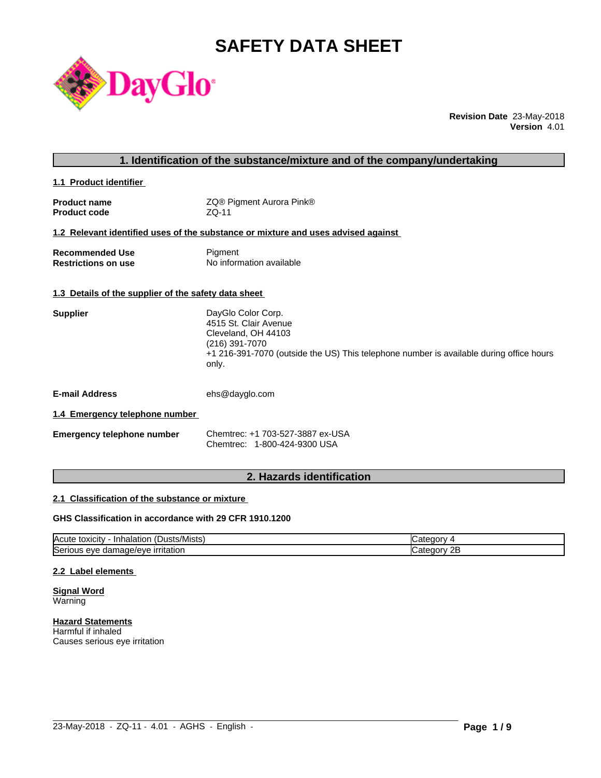# **SAFETY DATA SHEET**



**Revision Date** 23-May-2018 **Version** 4.01

|                                                      | 1. Identification of the substance/mixture and of the company/undertaking                                                                                                                |  |  |  |
|------------------------------------------------------|------------------------------------------------------------------------------------------------------------------------------------------------------------------------------------------|--|--|--|
| 1.1 Product identifier                               |                                                                                                                                                                                          |  |  |  |
| <b>Product name</b><br><b>Product code</b>           | ZQ® Pigment Aurora Pink®<br>$ZQ-11$                                                                                                                                                      |  |  |  |
|                                                      | 1.2 Relevant identified uses of the substance or mixture and uses advised against                                                                                                        |  |  |  |
| <b>Recommended Use</b><br><b>Restrictions on use</b> | Pigment<br>No information available                                                                                                                                                      |  |  |  |
| 1.3 Details of the supplier of the safety data sheet |                                                                                                                                                                                          |  |  |  |
| <b>Supplier</b>                                      | DayGlo Color Corp.<br>4515 St. Clair Avenue<br>Cleveland, OH 44103<br>(216) 391-7070<br>+1 216-391-7070 (outside the US) This telephone number is available during office hours<br>only. |  |  |  |
| <b>E-mail Address</b>                                | ehs@dayglo.com                                                                                                                                                                           |  |  |  |
| 1.4 Emergency telephone number                       |                                                                                                                                                                                          |  |  |  |
| <b>Emergency telephone number</b>                    | Chemtrec: +1 703-527-3887 ex-USA<br>Chemtrec: 1-800-424-9300 USA                                                                                                                         |  |  |  |
|                                                      |                                                                                                                                                                                          |  |  |  |

## **2. Hazards identification**

## **2.1 Classification of the substance or mixture**

## **GHS Classification in accordance with 29 CFR 1910.1200**

| $\mathbf{r}$<br>/Mists<br><b>IAcute</b><br>DUSTS.<br>toxicity<br>- Inhalation | . v                          |
|-------------------------------------------------------------------------------|------------------------------|
| Serious<br>irritation<br>.nage/eye<br>eve<br>aar                              | חה<br>עזרור<br><u>_</u><br>. |

 $\_$  ,  $\_$  ,  $\_$  ,  $\_$  ,  $\_$  ,  $\_$  ,  $\_$  ,  $\_$  ,  $\_$  ,  $\_$  ,  $\_$  ,  $\_$  ,  $\_$  ,  $\_$  ,  $\_$  ,  $\_$  ,  $\_$  ,  $\_$  ,  $\_$  ,  $\_$  ,  $\_$  ,  $\_$  ,  $\_$  ,  $\_$  ,  $\_$  ,  $\_$  ,  $\_$  ,  $\_$  ,  $\_$  ,  $\_$  ,  $\_$  ,  $\_$  ,  $\_$  ,  $\_$  ,  $\_$  ,  $\_$  ,  $\_$  ,

## **2.2 Label elements**

**Signal Word** Warning

**Hazard Statements** Harmful if inhaled Causes serious eye irritation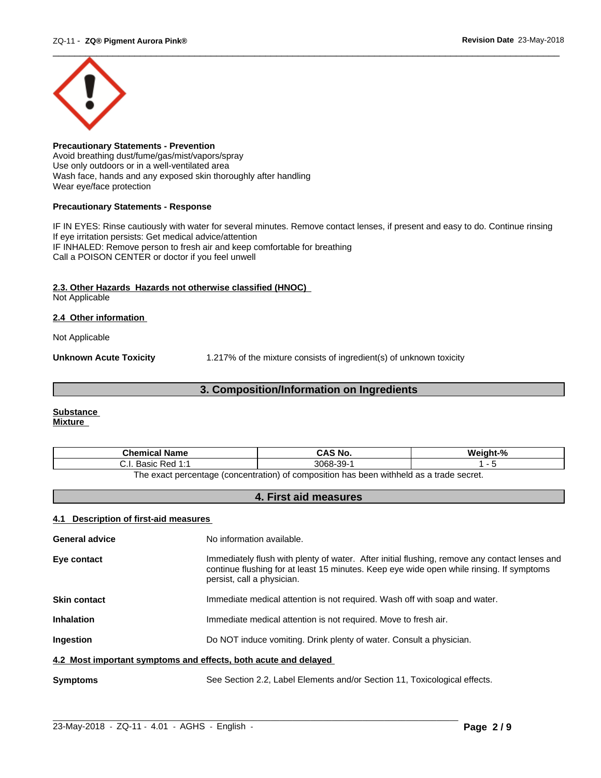

**Precautionary Statements - Prevention** Avoid breathing dust/fume/gas/mist/vapors/spray Use only outdoors or in a well-ventilated area Wash face, hands and any exposed skin thoroughly after handling Wear eye/face protection

## **Precautionary Statements - Response**

IF IN EYES: Rinse cautiously with water for several minutes. Remove contact lenses, if present and easy to do. Continue rinsing If eye irritation persists: Get medical advice/attention IF INHALED: Remove person to fresh air and keep comfortable for breathing Call a POISON CENTER or doctor if you feel unwell

## **2.3. Other Hazards Hazards not otherwise classified (HNOC)**

Not Applicable

## **2.4 Other information**

Not Applicable

**Unknown Acute Toxicity** 1.217% of the mixture consists of ingredient(s) of unknown toxicity

## **3. Composition/Information on Ingredients**

## **Substance Mixture**

| <b>Chemical Name</b>                                                                    | CAS No.                    | $\mathbf{a}$ |  |
|-----------------------------------------------------------------------------------------|----------------------------|--------------|--|
| <b>DAN 1.4</b><br>منصدد<br>$\sim$ 1.00 $\sim$ 1.1 $\sim$<br>. ۱. ب<br>Dasiu             | $\sim$<br>3068<br>99-<br>ີ |              |  |
| The exect persentege (concentration) of composition has been withhold as a trade secret |                            |              |  |

The exact percentage (concentration) of composition has been withheld as a trade secret.

## **4. First aid measures**

## **4.1 Description of first-aid measures**

| <b>General advice</b>                                           | No information available.                                                                                                                                                                                               |  |
|-----------------------------------------------------------------|-------------------------------------------------------------------------------------------------------------------------------------------------------------------------------------------------------------------------|--|
| Eye contact                                                     | Immediately flush with plenty of water. After initial flushing, remove any contact lenses and<br>continue flushing for at least 15 minutes. Keep eye wide open while rinsing. If symptoms<br>persist, call a physician. |  |
| <b>Skin contact</b>                                             | Immediate medical attention is not required. Wash off with soap and water.                                                                                                                                              |  |
| <b>Inhalation</b>                                               | Immediate medical attention is not required. Move to fresh air.                                                                                                                                                         |  |
| <b>Ingestion</b>                                                | Do NOT induce vomiting. Drink plenty of water. Consult a physician.                                                                                                                                                     |  |
| 4.2 Most important symptoms and effects, both acute and delayed |                                                                                                                                                                                                                         |  |
| <b>Symptoms</b>                                                 | See Section 2.2, Label Elements and/or Section 11, Toxicological effects.                                                                                                                                               |  |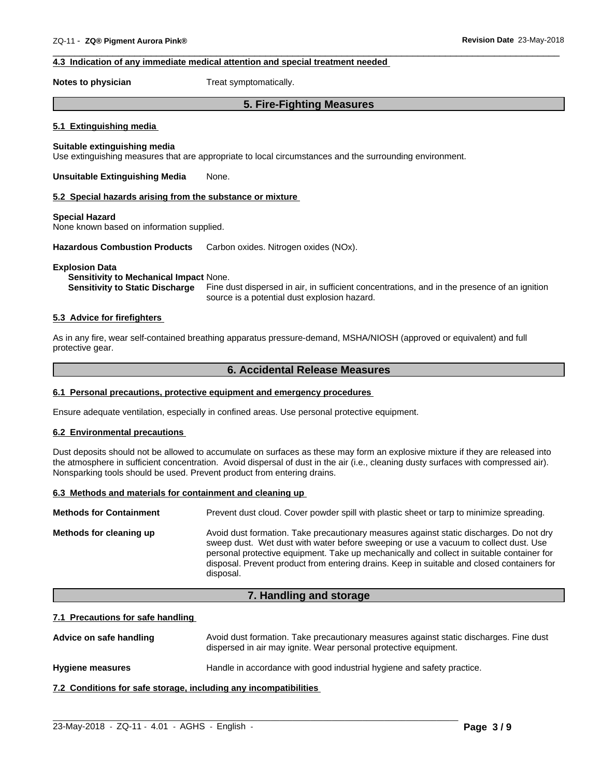## **4.3 Indication of any immediate medical attention and special treatment needed**

**Notes to physician** Treat symptomatically.

## **5. Fire-Fighting Measures**

 $\overline{\phantom{a}}$  ,  $\overline{\phantom{a}}$  ,  $\overline{\phantom{a}}$  ,  $\overline{\phantom{a}}$  ,  $\overline{\phantom{a}}$  ,  $\overline{\phantom{a}}$  ,  $\overline{\phantom{a}}$  ,  $\overline{\phantom{a}}$  ,  $\overline{\phantom{a}}$  ,  $\overline{\phantom{a}}$  ,  $\overline{\phantom{a}}$  ,  $\overline{\phantom{a}}$  ,  $\overline{\phantom{a}}$  ,  $\overline{\phantom{a}}$  ,  $\overline{\phantom{a}}$  ,  $\overline{\phantom{a}}$ 

## **5.1 Extinguishing media**

## **Suitable extinguishing media**

Use extinguishing measures that are appropriate to local circumstances and the surrounding environment.

**Unsuitable Extinguishing Media** None.

#### **5.2 Special hazards arising from the substance or mixture**

#### **Special Hazard**

None known based on information supplied.

**Hazardous Combustion Products** Carbon oxides. Nitrogen oxides (NOx).

#### **Explosion Data**

#### **Sensitivity to Mechanical Impact** None.

**Sensitivity to Static Discharge** Fine dust dispersed in air, in sufficient concentrations, and in the presence of an ignition source is a potential dust explosion hazard.

## **5.3 Advice for firefighters**

As in any fire, wear self-contained breathing apparatus pressure-demand, MSHA/NIOSH (approved or equivalent) and full protective gear.

## **6. Accidental Release Measures**

## **6.1 Personal precautions, protective equipment and emergency procedures**

Ensure adequate ventilation, especially in confined areas. Use personal protective equipment.

## **6.2 Environmental precautions**

Dust deposits should not be allowed to accumulate on surfaces as these may form an explosive mixture if they are released into the atmosphere in sufficient concentration. Avoid dispersal of dust in the air (i.e., cleaning dusty surfaces with compressed air). Nonsparking tools should be used. Prevent product from entering drains.

## **6.3 Methods and materials for containment and cleaning up**

| <b>Methods for Containment</b> | Prevent dust cloud. Cover powder spill with plastic sheet or tarp to minimize spreading.                                                                                                                                                                                                                                                                                                |
|--------------------------------|-----------------------------------------------------------------------------------------------------------------------------------------------------------------------------------------------------------------------------------------------------------------------------------------------------------------------------------------------------------------------------------------|
| Methods for cleaning up        | Avoid dust formation. Take precautionary measures against static discharges. Do not dry<br>sweep dust. Wet dust with water before sweeping or use a vacuum to collect dust. Use<br>personal protective equipment. Take up mechanically and collect in suitable container for<br>disposal. Prevent product from entering drains. Keep in suitable and closed containers for<br>disposal. |

## **7. Handling and storage**

## **7.1 Precautions for safe handling**

Advice on safe handling **Avoid dust formation. Take precautionary measures against static discharges. Fine dust** dispersed in air may ignite. Wear personal protective equipment.

 $\_$  ,  $\_$  ,  $\_$  ,  $\_$  ,  $\_$  ,  $\_$  ,  $\_$  ,  $\_$  ,  $\_$  ,  $\_$  ,  $\_$  ,  $\_$  ,  $\_$  ,  $\_$  ,  $\_$  ,  $\_$  ,  $\_$  ,  $\_$  ,  $\_$  ,  $\_$  ,  $\_$  ,  $\_$  ,  $\_$  ,  $\_$  ,  $\_$  ,  $\_$  ,  $\_$  ,  $\_$  ,  $\_$  ,  $\_$  ,  $\_$  ,  $\_$  ,  $\_$  ,  $\_$  ,  $\_$  ,  $\_$  ,  $\_$  ,

**Hygiene measures** Handle in accordance with good industrial hygiene and safety practice.

**7.2 Conditions for safe storage, including any incompatibilities**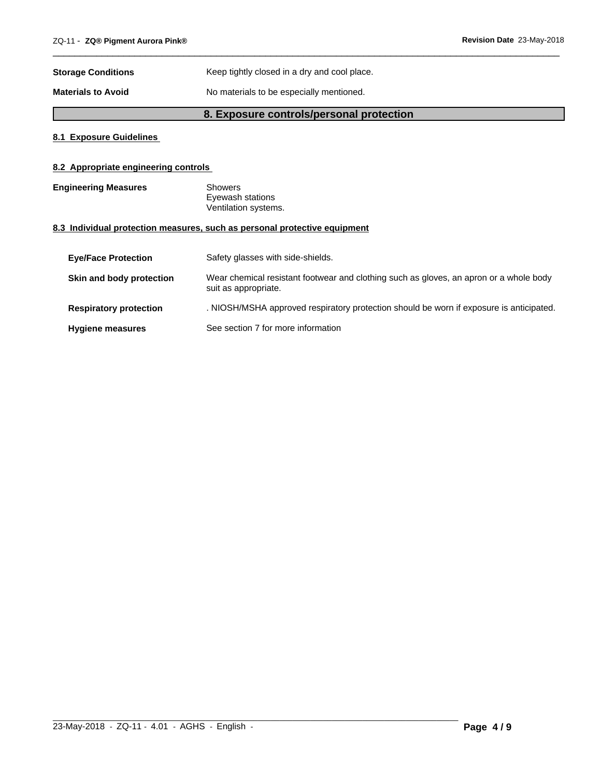| <b>Storage Conditions</b> | Keep tightly closed in a dry and cool place. |
|---------------------------|----------------------------------------------|
| <b>Materials to Avoid</b> | No materials to be especially mentioned.     |

## **8. Exposure controls/personal protection**

 $\overline{\phantom{a}}$  ,  $\overline{\phantom{a}}$  ,  $\overline{\phantom{a}}$  ,  $\overline{\phantom{a}}$  ,  $\overline{\phantom{a}}$  ,  $\overline{\phantom{a}}$  ,  $\overline{\phantom{a}}$  ,  $\overline{\phantom{a}}$  ,  $\overline{\phantom{a}}$  ,  $\overline{\phantom{a}}$  ,  $\overline{\phantom{a}}$  ,  $\overline{\phantom{a}}$  ,  $\overline{\phantom{a}}$  ,  $\overline{\phantom{a}}$  ,  $\overline{\phantom{a}}$  ,  $\overline{\phantom{a}}$ 

## **8.1 Exposure Guidelines**

## **8.2 Appropriate engineering controls**

| <b>Engineering Measures</b> | Showers              |  |
|-----------------------------|----------------------|--|
|                             | Eyewash stations     |  |
|                             | Ventilation systems. |  |

## **8.3 Individual protection measures, such as personal protective equipment**

| <b>Eve/Face Protection</b>    | Safety glasses with side-shields.                                                                              |
|-------------------------------|----------------------------------------------------------------------------------------------------------------|
| Skin and body protection      | Wear chemical resistant footwear and clothing such as gloves, an apron or a whole body<br>suit as appropriate. |
| <b>Respiratory protection</b> | . NIOSH/MSHA approved respiratory protection should be worn if exposure is anticipated.                        |
| <b>Hygiene measures</b>       | See section 7 for more information                                                                             |

 $\_$  ,  $\_$  ,  $\_$  ,  $\_$  ,  $\_$  ,  $\_$  ,  $\_$  ,  $\_$  ,  $\_$  ,  $\_$  ,  $\_$  ,  $\_$  ,  $\_$  ,  $\_$  ,  $\_$  ,  $\_$  ,  $\_$  ,  $\_$  ,  $\_$  ,  $\_$  ,  $\_$  ,  $\_$  ,  $\_$  ,  $\_$  ,  $\_$  ,  $\_$  ,  $\_$  ,  $\_$  ,  $\_$  ,  $\_$  ,  $\_$  ,  $\_$  ,  $\_$  ,  $\_$  ,  $\_$  ,  $\_$  ,  $\_$  ,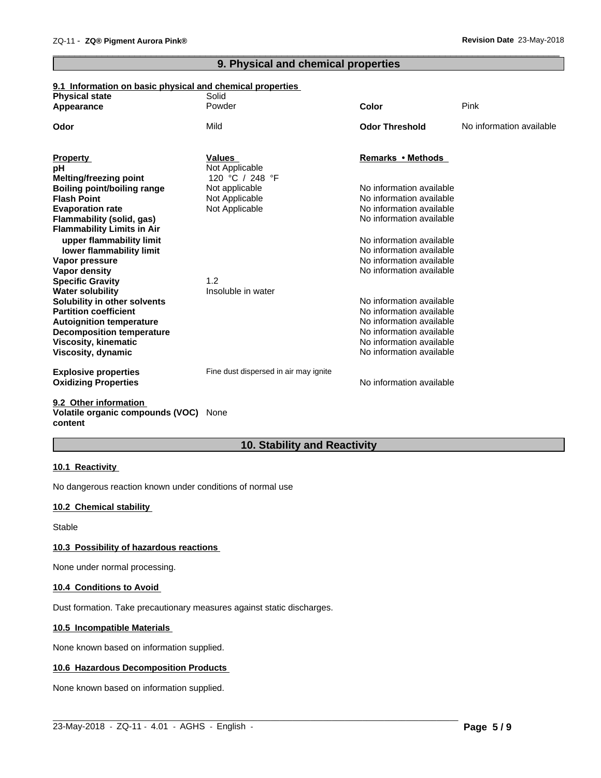## **9. Physical and chemical properties**

 $\overline{\phantom{a}}$  ,  $\overline{\phantom{a}}$  ,  $\overline{\phantom{a}}$  ,  $\overline{\phantom{a}}$  ,  $\overline{\phantom{a}}$  ,  $\overline{\phantom{a}}$  ,  $\overline{\phantom{a}}$  ,  $\overline{\phantom{a}}$  ,  $\overline{\phantom{a}}$  ,  $\overline{\phantom{a}}$  ,  $\overline{\phantom{a}}$  ,  $\overline{\phantom{a}}$  ,  $\overline{\phantom{a}}$  ,  $\overline{\phantom{a}}$  ,  $\overline{\phantom{a}}$  ,  $\overline{\phantom{a}}$ 

## **9.1 Information on basic physical and chemical properties**

| <b>Physical state</b>                          | Solid                                 |                          |                          |
|------------------------------------------------|---------------------------------------|--------------------------|--------------------------|
| Appearance                                     | Powder                                | Color                    | Pink                     |
| Odor                                           | Mild                                  | <b>Odor Threshold</b>    | No information available |
| <b>Property</b>                                | <b>Values</b>                         | Remarks • Methods        |                          |
| рH                                             | Not Applicable                        |                          |                          |
| Melting/freezing point                         | 120 °C / 248 °F                       |                          |                          |
| <b>Boiling point/boiling range</b>             | Not applicable                        | No information available |                          |
| <b>Flash Point</b>                             | Not Applicable                        | No information available |                          |
| <b>Evaporation rate</b>                        | Not Applicable                        | No information available |                          |
| Flammability (solid, gas)                      |                                       | No information available |                          |
| <b>Flammability Limits in Air</b>              |                                       |                          |                          |
| upper flammability limit                       |                                       | No information available |                          |
| lower flammability limit                       |                                       | No information available |                          |
| Vapor pressure                                 |                                       | No information available |                          |
| Vapor density                                  |                                       | No information available |                          |
| <b>Specific Gravity</b>                        | 1.2                                   |                          |                          |
| <b>Water solubility</b>                        | Insoluble in water                    |                          |                          |
| Solubility in other solvents                   |                                       | No information available |                          |
| <b>Partition coefficient</b>                   |                                       | No information available |                          |
| <b>Autoignition temperature</b>                |                                       | No information available |                          |
| <b>Decomposition temperature</b>               |                                       | No information available |                          |
| <b>Viscosity, kinematic</b>                    |                                       | No information available |                          |
| Viscosity, dynamic                             |                                       | No information available |                          |
| <b>Explosive properties</b>                    | Fine dust dispersed in air may ignite |                          |                          |
| <b>Oxidizing Properties</b>                    |                                       | No information available |                          |
| $A \wedge A$ and $A \wedge B$ and $A \wedge B$ |                                       |                          |                          |

#### **9.2 Other information Volatile organic compounds (VOC)** None **content**

## **10. Stability and Reactivity**

## **10.1 Reactivity**

No dangerous reaction known under conditions of normal use

## **10.2 Chemical stability**

Stable

## **10.3 Possibility of hazardous reactions**

None under normal processing.

## **10.4 Conditions to Avoid**

Dust formation. Take precautionary measures against static discharges.

## **10.5 Incompatible Materials**

None known based on information supplied.

## **10.6 Hazardous Decomposition Products**

None known based on information supplied.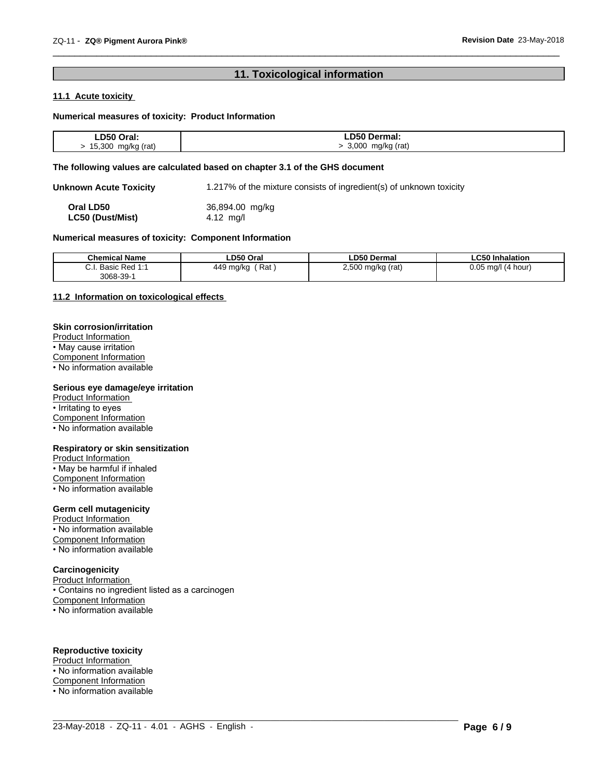## **11. Toxicological information**

 $\overline{\phantom{a}}$  ,  $\overline{\phantom{a}}$  ,  $\overline{\phantom{a}}$  ,  $\overline{\phantom{a}}$  ,  $\overline{\phantom{a}}$  ,  $\overline{\phantom{a}}$  ,  $\overline{\phantom{a}}$  ,  $\overline{\phantom{a}}$  ,  $\overline{\phantom{a}}$  ,  $\overline{\phantom{a}}$  ,  $\overline{\phantom{a}}$  ,  $\overline{\phantom{a}}$  ,  $\overline{\phantom{a}}$  ,  $\overline{\phantom{a}}$  ,  $\overline{\phantom{a}}$  ,  $\overline{\phantom{a}}$ 

## **11.1 Acute toxicity**

## **Numerical measures of toxicity: Product Information**

| D50<br>Oral.                      | ∩rmal:              |
|-----------------------------------|---------------------|
| 5.300<br>(rat)<br>mg/kc<br>◡<br>ີ | 0.00<br>mg/kg (rat) |

## **The following values are calculated based on chapter 3.1 of the GHS document**

**Unknown Acute Toxicity** 1.217% of the mixture consists of ingredient(s) of unknown toxicity

**Oral LD50** 36,894.00 mg/kg<br> **LC50 (Dust/Mist)** 4.12 mg/l **LC50** (Dust/Mist)

## **Numerical measures of toxicity: Component Information**

| <b>Chemical Name</b>                        | ∟D50 Oral             | <b>LD50 Dermal</b>      | <b>LC50 Inhalation</b>   |
|---------------------------------------------|-----------------------|-------------------------|--------------------------|
| Basic<br>^<br>$Dod$ 1.1<br>seu.<br>3068-39- | Rat<br>449<br>∣ ma/kc | 2.500<br>(rat)<br>mq/kq | 0.05<br>ma/l<br>(4 hour) |

 $\_$  ,  $\_$  ,  $\_$  ,  $\_$  ,  $\_$  ,  $\_$  ,  $\_$  ,  $\_$  ,  $\_$  ,  $\_$  ,  $\_$  ,  $\_$  ,  $\_$  ,  $\_$  ,  $\_$  ,  $\_$  ,  $\_$  ,  $\_$  ,  $\_$  ,  $\_$  ,  $\_$  ,  $\_$  ,  $\_$  ,  $\_$  ,  $\_$  ,  $\_$  ,  $\_$  ,  $\_$  ,  $\_$  ,  $\_$  ,  $\_$  ,  $\_$  ,  $\_$  ,  $\_$  ,  $\_$  ,  $\_$  ,  $\_$  ,

## **11.2 Information on toxicologicaleffects**

## **Skin corrosion/irritation**

Product Information • May cause irritation Component Information

 $\overline{\cdot}$  No information available

## **Serious eye damage/eye irritation**

Product Information • Irritating to eyes Component Information • No information available

## **Respiratory or skin sensitization**

Product Information • May be harmful if inhaled Component Information • No information available

## **Germ cell mutagenicity**

Product Information • No information available Component Information • No information available

## **Carcinogenicity**

Product Information • Contains no ingredient listed as a carcinogen Component Information • No information available

## **Reproductive toxicity**

Product Information • No information available Component Information • No information available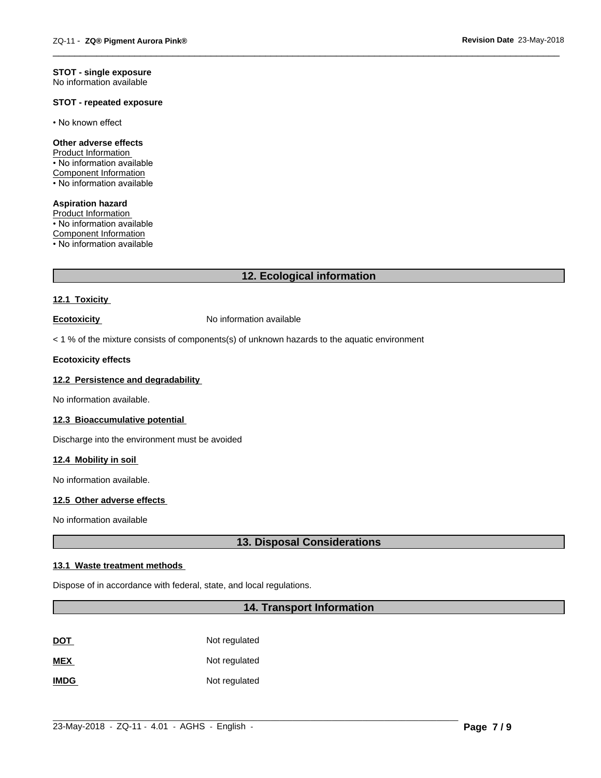## **STOT - single exposure** No information available

## **STOT - repeated exposure**

• No known effect

## **Other adverse effects**

Product Information • No information available Component Information • No information available

**Aspiration hazard** Product Information • No information available Component Information • No information available

## **12. Ecological information**

 $\overline{\phantom{a}}$  ,  $\overline{\phantom{a}}$  ,  $\overline{\phantom{a}}$  ,  $\overline{\phantom{a}}$  ,  $\overline{\phantom{a}}$  ,  $\overline{\phantom{a}}$  ,  $\overline{\phantom{a}}$  ,  $\overline{\phantom{a}}$  ,  $\overline{\phantom{a}}$  ,  $\overline{\phantom{a}}$  ,  $\overline{\phantom{a}}$  ,  $\overline{\phantom{a}}$  ,  $\overline{\phantom{a}}$  ,  $\overline{\phantom{a}}$  ,  $\overline{\phantom{a}}$  ,  $\overline{\phantom{a}}$ 

## **12.1 Toxicity**

**Ecotoxicity No information available** 

 $<$  1 % of the mixture consists of components(s) of unknown hazards to the aquatic environment

## **Ecotoxicity effects**

## **12.2 Persistence and degradability**

No information available.

## **12.3 Bioaccumulative potential**

Discharge into the environment must be avoided

## **12.4 Mobility in soil**

No information available.

## **12.5 Other adverse effects**

No information available

## **13. Disposal Considerations**

## **13.1 Waste treatment methods**

Dispose of in accordance with federal, state, and local regulations.

## **14. Transport Information**

 $\_$  ,  $\_$  ,  $\_$  ,  $\_$  ,  $\_$  ,  $\_$  ,  $\_$  ,  $\_$  ,  $\_$  ,  $\_$  ,  $\_$  ,  $\_$  ,  $\_$  ,  $\_$  ,  $\_$  ,  $\_$  ,  $\_$  ,  $\_$  ,  $\_$  ,  $\_$  ,  $\_$  ,  $\_$  ,  $\_$  ,  $\_$  ,  $\_$  ,  $\_$  ,  $\_$  ,  $\_$  ,  $\_$  ,  $\_$  ,  $\_$  ,  $\_$  ,  $\_$  ,  $\_$  ,  $\_$  ,  $\_$  ,  $\_$  ,

| <u>DOT</u>  | Not regulated |
|-------------|---------------|
| <b>MEX</b>  | Not regulated |
| <b>IMDG</b> | Not regulated |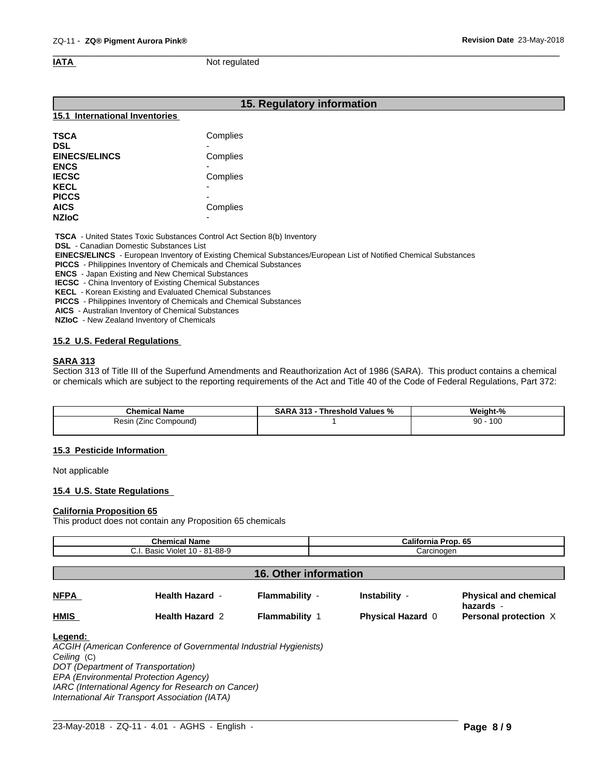## $\overline{\phantom{a}}$  ,  $\overline{\phantom{a}}$  ,  $\overline{\phantom{a}}$  ,  $\overline{\phantom{a}}$  ,  $\overline{\phantom{a}}$  ,  $\overline{\phantom{a}}$  ,  $\overline{\phantom{a}}$  ,  $\overline{\phantom{a}}$  ,  $\overline{\phantom{a}}$  ,  $\overline{\phantom{a}}$  ,  $\overline{\phantom{a}}$  ,  $\overline{\phantom{a}}$  ,  $\overline{\phantom{a}}$  ,  $\overline{\phantom{a}}$  ,  $\overline{\phantom{a}}$  ,  $\overline{\phantom{a}}$ **IATA** Not regulated

## **15. Regulatory information**

## **15.1 International Inventories**

| <b>TSCA</b>          | Complies                 |  |
|----------------------|--------------------------|--|
| <b>DSL</b>           |                          |  |
| <b>EINECS/ELINCS</b> | Complies                 |  |
| <b>ENCS</b>          |                          |  |
| <b>IECSC</b>         | Complies                 |  |
| <b>KECL</b>          | $\overline{\phantom{0}}$ |  |
| <b>PICCS</b>         |                          |  |
| <b>AICS</b>          | Complies                 |  |
| <b>NZIoC</b>         | -                        |  |

 **TSCA** - United States Toxic Substances Control Act Section 8(b) Inventory

 **DSL** - Canadian Domestic Substances List

 **EINECS/ELINCS** - European Inventory of Existing Chemical Substances/European List of Notified Chemical Substances

 **PICCS** - Philippines Inventory of Chemicals and Chemical Substances

 **ENCS** - Japan Existing and New Chemical Substances

 **IECSC** - China Inventory of Existing Chemical Substances

 **KECL** - Korean Existing and Evaluated Chemical Substances

 **PICCS** - Philippines Inventory of Chemicals and Chemical Substances

 **AICS** - Australian Inventory of Chemical Substances

 **NZIoC** - New Zealand Inventory of Chemicals

## **15.2 U.S. Federal Regulations**

## **SARA 313**

Section 313 of Title III of the Superfund Amendments and Reauthorization Act of 1986 (SARA). This product contains a chemical or chemicals which are subject to the reporting requirements of the Act and Title 40 of the Code of Federal Regulations, Part 372:

| <b>Chemical Name</b>        | 313<br>Threshold Values<br>SARA<br>. .<br>% | Weight-%  |
|-----------------------------|---------------------------------------------|-----------|
| Resin<br>Compound)<br>(∠inc |                                             | 100<br>90 |
|                             |                                             |           |

## **15.3 Pesticide Information**

Not applicable

## **15.4 U.S. State Regulations**

## **California Proposition 65**

This product does not contain any Proposition 65 chemicals

| <b>Chemical Name</b><br>C.I. Basic Violet 10 - 81-88-9 |                        |                       | California Prop. 65<br>Carcinogen |                                           |  |
|--------------------------------------------------------|------------------------|-----------------------|-----------------------------------|-------------------------------------------|--|
|                                                        |                        |                       |                                   |                                           |  |
| <b>16. Other information</b>                           |                        |                       |                                   |                                           |  |
| <b>NFPA</b>                                            | <b>Health Hazard -</b> | Flammability -        | Instability -                     | <b>Physical and chemical</b><br>hazards - |  |
| <b>HMIS</b>                                            | <b>Health Hazard 2</b> | <b>Flammability 1</b> | <b>Physical Hazard 0</b>          | Personal protection X                     |  |

*ACGIH (American Conference of Governmental Industrial Hygienists) Ceiling* (C) *DOT (Department of Transportation) EPA (Environmental Protection Agency) IARC (International Agency for Research on Cancer) International Air Transport Association (IATA)*